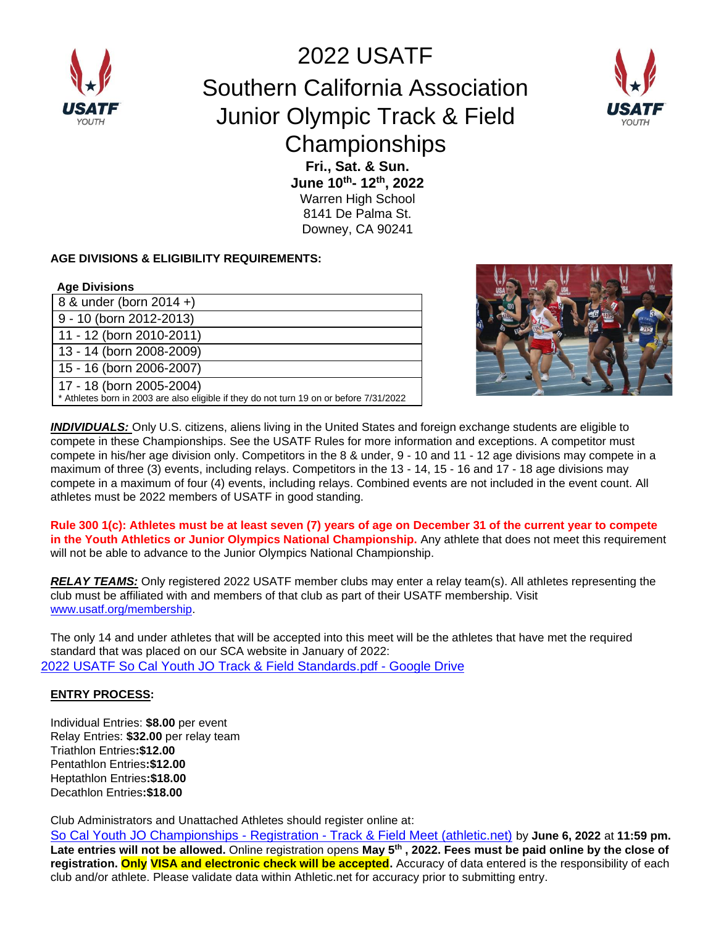

2022 USATF Southern California Association Junior Olympic Track & Field **Championships Fri., Sat. & Sun.** 



**June 10th- 12th, 2022** Warren High School

8141 De Palma St. Downey, CA 90241

#### **AGE DIVISIONS & ELIGIBILITY REQUIREMENTS:**

#### **Age Divisions**

8 & under (born 2014 +) 9 - 10 (born 2012-2013) 11 - 12 (born 2010-2011) 13 - 14 (born 2008-2009) 15 - 16 (born 2006-2007) 17 - 18 (born 2005-2004) \* Athletes born in 2003 are also eligible if they do not turn 19 on or before 7/31/2022



*INDIVIDUALS:* Only U.S. citizens, aliens living in the United States and foreign exchange students are eligible to compete in these Championships. See the USATF Rules for more information and exceptions. A competitor must compete in his/her age division only. Competitors in the 8 & under, 9 - 10 and 11 - 12 age divisions may compete in a maximum of three (3) events, including relays. Competitors in the 13 - 14, 15 - 16 and 17 - 18 age divisions may compete in a maximum of four (4) events, including relays. Combined events are not included in the event count. All athletes must be 2022 members of USATF in good standing.

**Rule 300 1(c): Athletes must be at least seven (7) years of age on December 31 of the current year to compete in the Youth Athletics or Junior Olympics National Championship.** Any athlete that does not meet this requirement will not be able to advance to the Junior Olympics National Championship.

*RELAY TEAMS:* Only registered 2022 USATF member clubs may enter a relay team(s). All athletes representing the club must be affiliated with and members of that club as part of their USATF membership. Visit [www.usatf.org/membership.](http://www.usatf.org/membership)

The only 14 and under athletes that will be accepted into this meet will be the athletes that have met the required standard that was placed on our SCA website in January of 2022: [2022 USATF So Cal Youth JO Track & Field Standards.pdf -](https://drive.google.com/file/d/1kjUz1Jtsm-095COU5MFBMNLqlwUb3sE_/view) Google Drive

### **ENTRY PROCESS:**

Individual Entries: **\$8.00** per event Relay Entries: **\$32.00** per relay team Triathlon Entries**:\$12.00** Pentathlon Entries**:\$12.00** Heptathlon Entries**:\$18.00** Decathlon Entries**:\$18.00**

Club Administrators and Unattached Athletes should register online at:

[So Cal Youth JO Championships -](https://www.athletic.net/TrackAndField/meet/472182/register) Registration - Track & Field Meet (athletic.net) by **June 6, 2022** at **11:59 pm.**  Late entries will not be allowed. Online registration opens May 5<sup>th</sup>, 2022. Fees must be paid online by the close of **registration. Only VISA and electronic check will be accepted.** Accuracy of data entered is the responsibility of each club and/or athlete. Please validate data within Athletic.net for accuracy prior to submitting entry.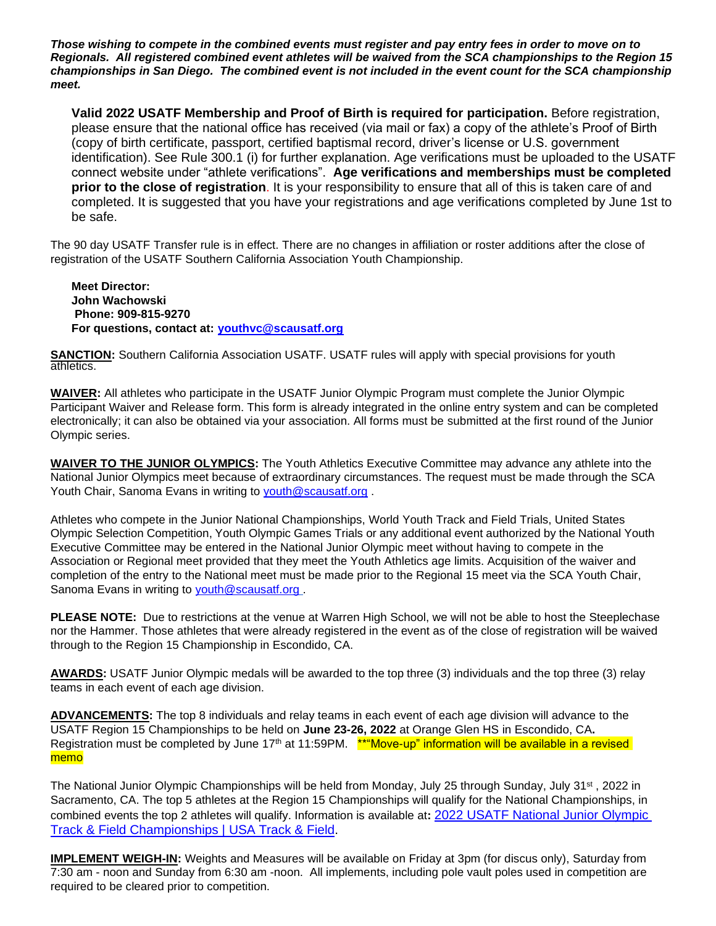*Those wishing to compete in the combined events must register and pay entry fees in order to move on to Regionals. All registered combined event athletes will be waived from the SCA championships to the Region 15 championships in San Diego. The combined event is not included in the event count for the SCA championship meet.*

**Valid 2022 USATF Membership and Proof of Birth is required for participation.** Before registration, please ensure that the national office has received (via mail or fax) a copy of the athlete's Proof of Birth (copy of birth certificate, passport, certified baptismal record, driver's license or U.S. government identification). See Rule 300.1 (i) for further explanation. Age verifications must be uploaded to the USATF connect website under "athlete verifications". **Age verifications and memberships must be completed prior to the close of registration**. It is your responsibility to ensure that all of this is taken care of and completed. It is suggested that you have your registrations and age verifications completed by June 1st to be safe.

The 90 day USATF Transfer rule is in effect. There are no changes in affiliation or roster additions after the close of registration of the USATF Southern California Association Youth Championship.

**Meet Director: John Wachowski Phone: 909-815-9270 For questions, contact at: [youthvc@scausatf.org](mailto:youthvc@scausatf.org)**

**SANCTION:** Southern California Association USATF. USATF rules will apply with special provisions for youth athletics.

**WAIVER:** All athletes who participate in the USATF Junior Olympic Program must complete the Junior Olympic Participant Waiver and Release form. This form is already integrated in the online entry system and can be completed electronically; it can also be obtained via your association. All forms must be submitted at the first round of the Junior Olympic series.

**WAIVER TO THE JUNIOR OLYMPICS:** The Youth Athletics Executive Committee may advance any athlete into the National Junior Olympics meet because of extraordinary circumstances. The request must be made through the SCA Youth Chair, Sanoma Evans in writing to [youth@scausatf.org](mailto:youth@scausatf.org).

Athletes who compete in the Junior National Championships, World Youth Track and Field Trials, United States Olympic Selection Competition, Youth Olympic Games Trials or any additional event authorized by the National Youth Executive Committee may be entered in the National Junior Olympic meet without having to compete in the Association or Regional meet provided that they meet the Youth Athletics age limits. Acquisition of the waiver and completion of the entry to the National meet must be made prior to the Regional 15 meet via the SCA Youth Chair, Sanoma Evans in writing to [youth@scausatf.org](mailto:youth@scausatf.org) .

**PLEASE NOTE:** Due to restrictions at the venue at Warren High School, we will not be able to host the Steeplechase nor the Hammer. Those athletes that were already registered in the event as of the close of registration will be waived through to the Region 15 Championship in Escondido, CA.

**AWARDS:** USATF Junior Olympic medals will be awarded to the top three (3) individuals and the top three (3) relay teams in each event of each age division.

**ADVANCEMENTS:** The top 8 individuals and relay teams in each event of each age division will advance to the USATF Region 15 Championships to be held on **June 23-26, 2022** at Orange Glen HS in Escondido, CA**.** Registration must be completed by June  $17<sup>th</sup>$  at 11:59PM. \*\*"Move-up" information will be available in a revised memo

The National Junior Olympic Championships will be held from Monday, July 25 through Sunday, July 31st , 2022 in Sacramento, CA. The top 5 athletes at the Region 15 Championships will qualify for the National Championships, in combined events the top 2 athletes will qualify. Information is available at**:** [2022 USATF National Junior Olympic](https://www.usatf.org/events/2022/2022-usatf-national-junior-olympic-track-field-cha)  [Track & Field Championships | USA Track & Field.](https://www.usatf.org/events/2022/2022-usatf-national-junior-olympic-track-field-cha)

**IMPLEMENT WEIGH-IN:** Weights and Measures will be available on Friday at 3pm (for discus only), Saturday from 7:30 am - noon and Sunday from 6:30 am -noon. All implements, including pole vault poles used in competition are required to be cleared prior to competition.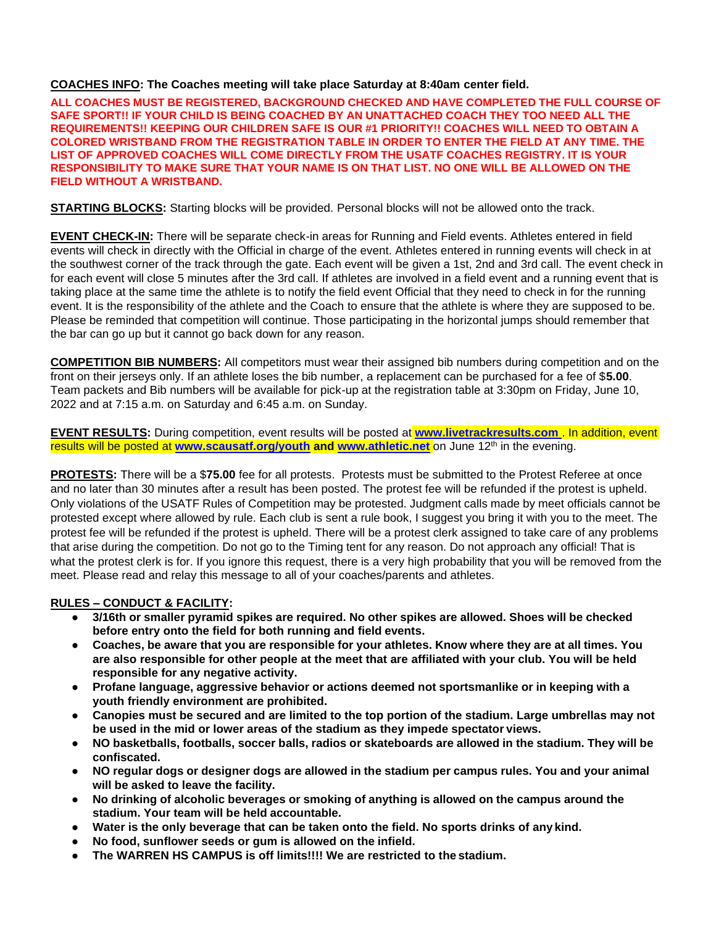#### **COACHES INFO: The Coaches meeting will take place Saturday at 8:40am center field.**

**ALL COACHES MUST BE REGISTERED, BACKGROUND CHECKED AND HAVE COMPLETED THE FULL COURSE OF SAFE SPORT!! IF YOUR CHILD IS BEING COACHED BY AN UNATTACHED COACH THEY TOO NEED ALL THE REQUIREMENTS!! KEEPING OUR CHILDREN SAFE IS OUR #1 PRIORITY!! COACHES WILL NEED TO OBTAIN A COLORED WRISTBAND FROM THE REGISTRATION TABLE IN ORDER TO ENTER THE FIELD AT ANY TIME. THE LIST OF APPROVED COACHES WILL COME DIRECTLY FROM THE USATF COACHES REGISTRY. IT IS YOUR RESPONSIBILITY TO MAKE SURE THAT YOUR NAME IS ON THAT LIST. NO ONE WILL BE ALLOWED ON THE FIELD WITHOUT A WRISTBAND.**

**STARTING BLOCKS:** Starting blocks will be provided. Personal blocks will not be allowed onto the track.

**EVENT CHECK-IN:** There will be separate check-in areas for Running and Field events. Athletes entered in field events will check in directly with the Official in charge of the event. Athletes entered in running events will check in at the southwest corner of the track through the gate. Each event will be given a 1st, 2nd and 3rd call. The event check in for each event will close 5 minutes after the 3rd call. If athletes are involved in a field event and a running event that is taking place at the same time the athlete is to notify the field event Official that they need to check in for the running event. It is the responsibility of the athlete and the Coach to ensure that the athlete is where they are supposed to be. Please be reminded that competition will continue. Those participating in the horizontal jumps should remember that the bar can go up but it cannot go back down for any reason.

**COMPETITION BIB NUMBERS:** All competitors must wear their assigned bib numbers during competition and on the front on their jerseys only. If an athlete loses the bib number, a replacement can be purchased for a fee of \$**5.00**. Team packets and Bib numbers will be available for pick-up at the registration table at 3:30pm on Friday, June 10, 2022 and at 7:15 a.m. on Saturday and 6:45 a.m. on Sunday.

**EVENT RESULTS:** During competition, event results will be posted at **www.livetrackresults.com** . In addition, event results will be posted at **[www.scausatf.org/youth](http://www.scausatf.org/youth) and [www.athletic.net](http://www.athletic.net/)** on June 12th in the evening.

**PROTESTS:** There will be a \$**75.00** fee for all protests. Protests must be submitted to the Protest Referee at once and no later than 30 minutes after a result has been posted. The protest fee will be refunded if the protest is upheld. Only violations of the USATF Rules of Competition may be protested. Judgment calls made by meet officials cannot be protested except where allowed by rule. Each club is sent a rule book, I suggest you bring it with you to the meet. The protest fee will be refunded if the protest is upheld. There will be a protest clerk assigned to take care of any problems that arise during the competition. Do not go to the Timing tent for any reason. Do not approach any official! That is what the protest clerk is for. If you ignore this request, there is a very high probability that you will be removed from the meet. Please read and relay this message to all of your coaches/parents and athletes.

#### **RULES – CONDUCT & FACILITY:**

- **● 3/16th or smaller pyramid spikes are required. No other spikes are allowed. Shoes will be checked before entry onto the field for both running and field events.**
- Coaches, be aware that you are responsible for your athletes. Know where they are at all times. You **are also responsible for other people at the meet that are affiliated with your club. You will be held responsible for any negative activity.**
- **● Profane language, aggressive behavior or actions deemed not sportsmanlike or in keeping with a youth friendly environment are prohibited.**
- **● Canopies must be secured and are limited to the top portion of the stadium. Large umbrellas may not be used in the mid or lower areas of the stadium as they impede spectator views.**
- NO basketballs, footballs, soccer balls, radios or skateboards are allowed in the stadium. They will be **confiscated.**
- NO regular dogs or designer dogs are allowed in the stadium per campus rules. You and your animal **will be asked to leave the facility.**
- **● No drinking of alcoholic beverages or smoking of anything is allowed on the campus around the stadium. Your team will be held accountable.**
- **● Water is the only beverage that can be taken onto the field. No sports drinks of any kind.**
- **● No food, sunflower seeds or gum is allowed on the infield.**
- **● The WARREN HS CAMPUS is off limits!!!! We are restricted to the stadium.**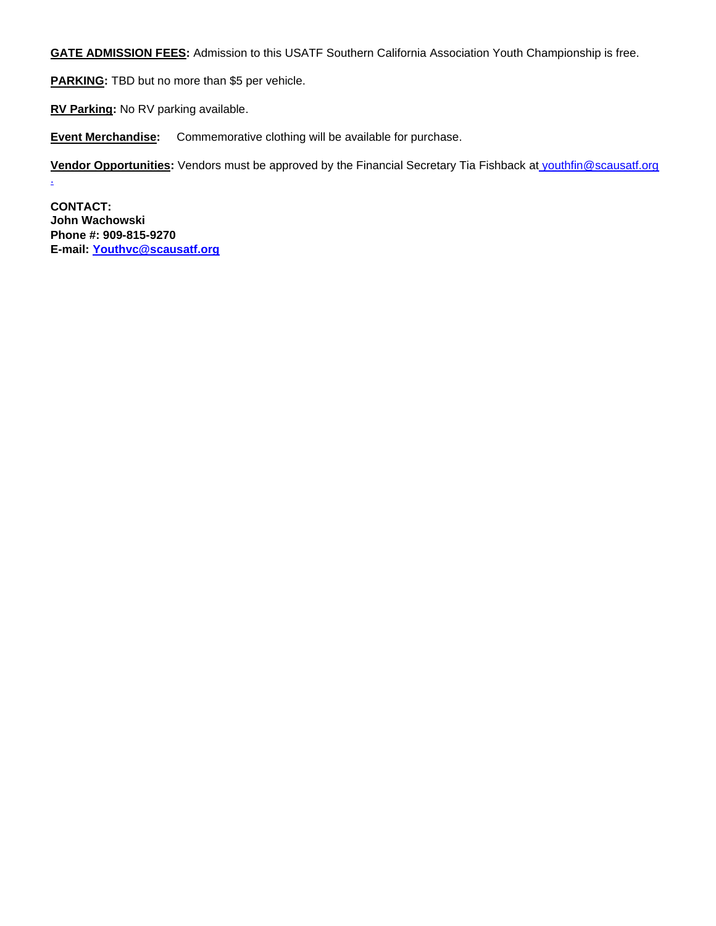**GATE ADMISSION FEES:** Admission to this USATF Southern California Association Youth Championship is free.

**PARKING:** TBD but no more than \$5 per vehicle.

**RV Parking:** No RV parking available.

**Event Merchandise:** Commemorative clothing will be available for purchase.

**Vendor Opportunities:** Vendors must be approved by the Financial Secretary Tia Fishback at [youthfin@scausatf.org](mailto:%20youthfin@scausatf.org%20.) 

**CONTACT: John Wachowski Phone #: 909-815-9270 E-mail: [Youthvc@scausatf.org](mailto:Youthvc@scausatf.org)**

[.](mailto:%20youthfin@scausatf.org%20.)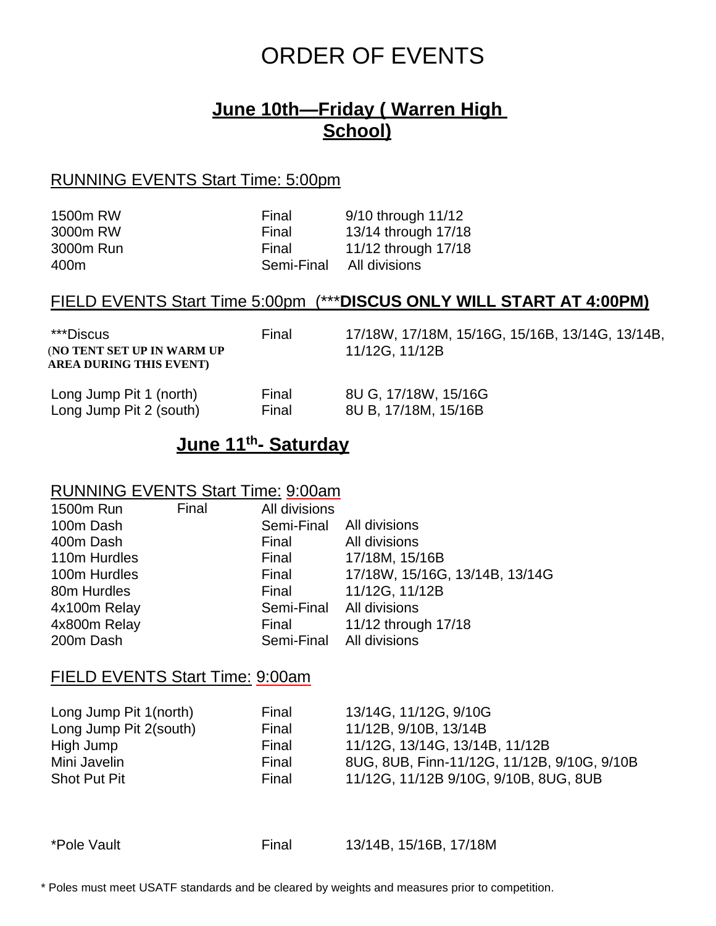# ORDER OF EVENTS

# **June 10th—Friday ( Warren High School)**

## RUNNING EVENTS Start Time: 5:00pm

| Final      | 9/10 through 11/12  |
|------------|---------------------|
| Final      | 13/14 through 17/18 |
| Final      | 11/12 through 17/18 |
| Semi-Final | All divisions       |
|            |                     |

## FIELD EVENTS Start Time 5:00pm (\*\*\***DISCUS ONLY WILL START AT 4:00PM)**

| ***Discus<br>(NO TENT SET UP IN WARM UP<br>AREA DURING THIS EVENT) | Final | 17/18W, 17/18M, 15/16G, 15/16B, 13/14G, 13/14B,<br>11/12G, 11/12B |
|--------------------------------------------------------------------|-------|-------------------------------------------------------------------|
| Long Jump Pit 1 (north)                                            | Final | 8U G, 17/18W, 15/16G                                              |
| Long Jump Pit 2 (south)                                            | Final | 8U B, 17/18M, 15/16B                                              |

## **June 11th- Saturday**

## RUNNING EVENTS Start Time: 9:00am

| 1500m Run    | Final | All divisions            |                                |
|--------------|-------|--------------------------|--------------------------------|
| 100m Dash    |       | Semi-Final All divisions |                                |
| 400m Dash    |       | Final                    | All divisions                  |
| 110m Hurdles |       | Final                    | 17/18M, 15/16B                 |
| 100m Hurdles |       | Final                    | 17/18W, 15/16G, 13/14B, 13/14G |
| 80m Hurdles  |       | Final                    | 11/12G, 11/12B                 |
| 4x100m Relay |       | Semi-Final All divisions |                                |
| 4x800m Relay |       | Final                    | 11/12 through 17/18            |
| 200m Dash    |       | Semi-Final All divisions |                                |

## FIELD EVENTS Start Time: 9:00am

| Long Jump Pit 1(north) | Final | 13/14G, 11/12G, 9/10G                       |
|------------------------|-------|---------------------------------------------|
| Long Jump Pit 2(south) | Final | 11/12B, 9/10B, 13/14B                       |
| High Jump              | Final | 11/12G, 13/14G, 13/14B, 11/12B              |
| Mini Javelin           | Final | 8UG, 8UB, Finn-11/12G, 11/12B, 9/10G, 9/10B |
| <b>Shot Put Pit</b>    | Final | 11/12G, 11/12B 9/10G, 9/10B, 8UG, 8UB       |
|                        |       |                                             |

\*Pole Vault Final 13/14B, 15/16B, 17/18M